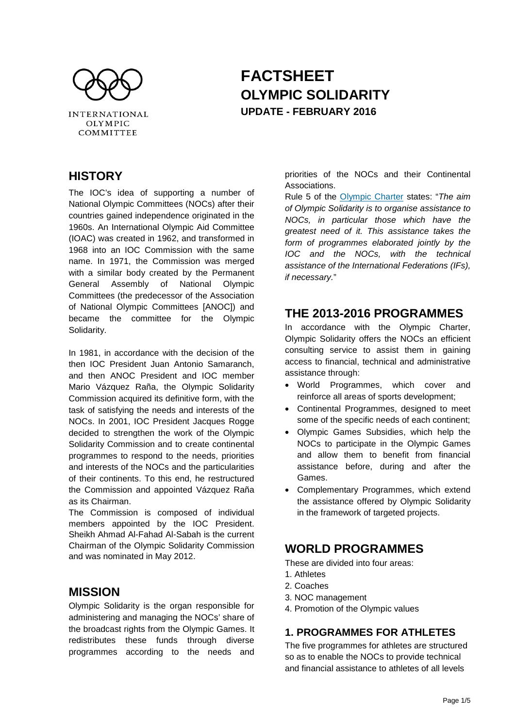

# **FACTSHEET OLYMPIC SOLIDARITY UPDATE - FEBRUARY 2016**

# **HISTORY**

The IOC's idea of supporting a number of National Olympic Committees (NOCs) after their countries gained independence originated in the 1960s. An International Olympic Aid Committee (IOAC) was created in 1962, and transformed in 1968 into an IOC Commission with the same name. In 1971, the Commission was merged with a similar body created by the Permanent General Assembly of National Olympic Committees (the predecessor of the Association of National Olympic Committees [ANOC]) and became the committee for the Olympic Solidarity.

In 1981, in accordance with the decision of the then IOC President Juan Antonio Samaranch, and then ANOC President and IOC member Mario Vázquez Raña, the Olympic Solidarity Commission acquired its definitive form, with the task of satisfying the needs and interests of the NOCs. In 2001, IOC President Jacques Rogge decided to strengthen the work of the Olympic Solidarity Commission and to create continental programmes to respond to the needs, priorities and interests of the NOCs and the particularities of their continents. To this end, he restructured the Commission and appointed Vázquez Raña as its Chairman.

The Commission is composed of individual members appointed by the IOC President. Sheikh Ahmad Al-Fahad Al-Sabah is the current Chairman of the Olympic Solidarity Commission and was nominated in May 2012.

### **MISSION**

Olympic Solidarity is the organ responsible for administering and managing the NOCs' share of the broadcast rights from the Olympic Games. It redistributes these funds through diverse programmes according to the needs and priorities of the NOCs and their Continental Associations.

Rule 5 of the [Olympic Charter](http://www.olympic.org/Documents/olympic_charter_en.pdf) states: "*The aim of Olympic Solidarity is to organise assistance to NOCs, in particular those which have the greatest need of it. This assistance takes the form of programmes elaborated jointly by the IOC and the NOCs, with the technical assistance of the International Federations (IFs), if necessary.*"

### **THE 2013-2016 PROGRAMMES**

In accordance with the Olympic Charter, Olympic Solidarity offers the NOCs an efficient consulting service to assist them in gaining access to financial, technical and administrative assistance through:

- World Programmes, which cover and reinforce all areas of sports development;
- Continental Programmes, designed to meet some of the specific needs of each continent;
- Olympic Games Subsidies, which help the NOCs to participate in the Olympic Games and allow them to benefit from financial assistance before, during and after the Games.
- Complementary Programmes, which extend the assistance offered by Olympic Solidarity in the framework of targeted projects.

# **WORLD PROGRAMMES**

These are divided into four areas:

- 1. Athletes
- 2. Coaches
- 3. NOC management
- 4. Promotion of the Olympic values

### **1. PROGRAMMES FOR ATHLETES**

The five programmes for athletes are structured so as to enable the NOCs to provide technical and financial assistance to athletes of all levels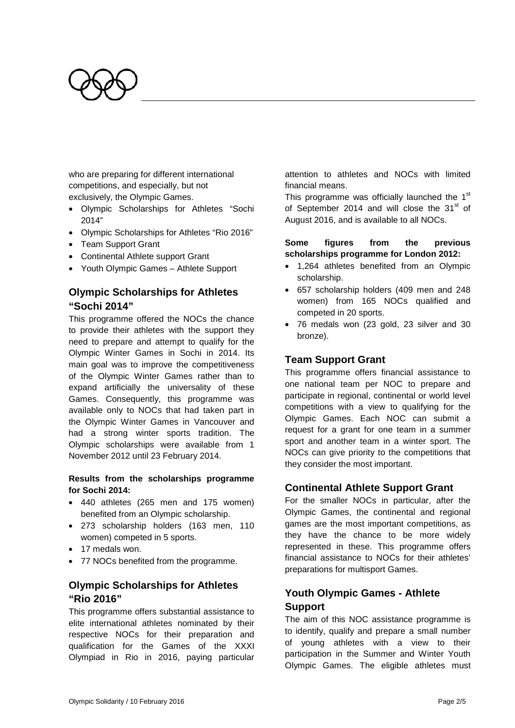

who are preparing for different international competitions, and especially, but not exclusively, the Olympic Games.

- Olympic Scholarships for Athletes "Sochi 2014"
- Olympic Scholarships for Athletes "Rio 2016"
- Team Support Grant
- Continental Athlete support Grant
- Youth Olympic Games Athlete Support

### **Olympic Scholarships for Athletes "Sochi 2014"**

This programme offered the NOCs the chance to provide their athletes with the support they need to prepare and attempt to qualify for the Olympic Winter Games in Sochi in 2014. Its main goal was to improve the competitiveness of the Olympic Winter Games rather than to expand artificially the universality of these Games. Consequently, this programme was available only to NOCs that had taken part in the Olympic Winter Games in Vancouver and had a strong winter sports tradition. The Olympic scholarships were available from 1 November 2012 until 23 February 2014.

#### **Results from the scholarships programme for Sochi 2014:**

- 440 athletes (265 men and 175 women) benefited from an Olympic scholarship.
- 273 scholarship holders (163 men, 110 women) competed in 5 sports.
- 17 medals won.
- 77 NOCs benefited from the programme.

#### **Olympic Scholarships for Athletes "Rio 2016"**

This programme offers substantial assistance to elite international athletes nominated by their respective NOCs for their preparation and qualification for the Games of the XXXI Olympiad in Rio in 2016, paying particular attention to athletes and NOCs with limited financial means.

This programme was officially launched the 1<sup>st</sup> of September 2014 and will close the  $31<sup>st</sup>$  of August 2016, and is available to all NOCs.

#### **Some figures from the previous scholarships programme for London 2012:**

- 1,264 athletes benefited from an Olympic scholarship.
- 657 scholarship holders (409 men and 248 women) from 165 NOCs qualified and competed in 20 sports.
- 76 medals won (23 gold, 23 silver and 30 bronze).

#### **Team Support Grant**

This programme offers financial assistance to one national team per NOC to prepare and participate in regional, continental or world level competitions with a view to qualifying for the Olympic Games. Each NOC can submit a request for a grant for one team in a summer sport and another team in a winter sport. The NOCs can give priority to the competitions that they consider the most important.

#### **Continental Athlete Support Grant**

For the smaller NOCs in particular, after the Olympic Games, the continental and regional games are the most important competitions, as they have the chance to be more widely represented in these. This programme offers financial assistance to NOCs for their athletes' preparations for multisport Games.

#### **Youth Olympic Games - Athlete Support**

The aim of this NOC assistance programme is to identify, qualify and prepare a small number of young athletes with a view to their participation in the Summer and Winter Youth Olympic Games. The eligible athletes must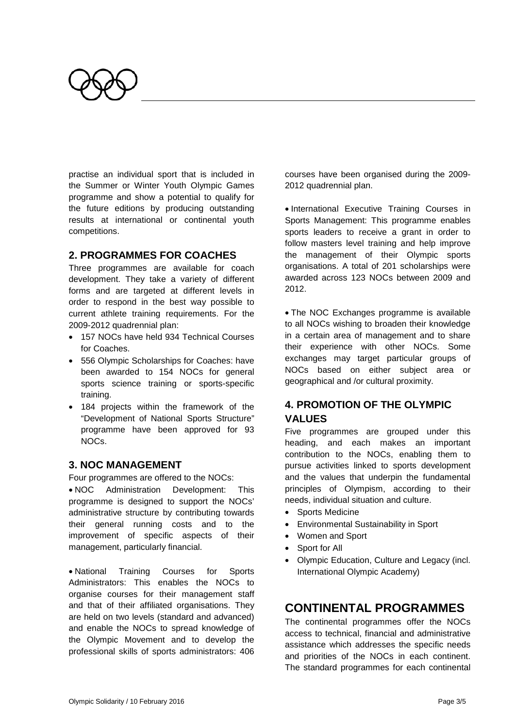

practise an individual sport that is included in the Summer or Winter Youth Olympic Games programme and show a potential to qualify for the future editions by producing outstanding results at international or continental youth competitions.

#### **2. PROGRAMMES FOR COACHES**

Three programmes are available for coach development. They take a variety of different forms and are targeted at different levels in order to respond in the best way possible to current athlete training requirements. For the 2009-2012 quadrennial plan:

- 157 NOCs have held 934 Technical Courses for Coaches.
- 556 Olympic Scholarships for Coaches: have been awarded to 154 NOCs for general sports science training or sports-specific training.
- 184 projects within the framework of the "Development of National Sports Structure" programme have been approved for 93 NOCs.

#### **3. NOC MANAGEMENT**

Four programmes are offered to the NOCs:

• NOC Administration Development: This programme is designed to support the NOCs' administrative structure by contributing towards their general running costs and to the improvement of specific aspects of their management, particularly financial.

• National Training Courses for Sports Administrators: This enables the NOCs to organise courses for their management staff and that of their affiliated organisations. They are held on two levels (standard and advanced) and enable the NOCs to spread knowledge of the Olympic Movement and to develop the professional skills of sports administrators: 406 courses have been organised during the 2009- 2012 quadrennial plan.

• International Executive Training Courses in Sports Management: This programme enables sports leaders to receive a grant in order to follow masters level training and help improve the management of their Olympic sports organisations. A total of 201 scholarships were awarded across 123 NOCs between 2009 and 2012.

• The NOC Exchanges programme is available to all NOCs wishing to broaden their knowledge in a certain area of management and to share their experience with other NOCs. Some exchanges may target particular groups of NOCs based on either subject area or geographical and /or cultural proximity.

### **4. PROMOTION OF THE OLYMPIC VALUES**

Five programmes are grouped under this heading, and each makes an important contribution to the NOCs, enabling them to pursue activities linked to sports development and the values that underpin the fundamental principles of Olympism, according to their needs, individual situation and culture.

- Sports Medicine
- Environmental Sustainability in Sport
- Women and Sport
- Sport for All
- Olympic Education, Culture and Legacy (incl. International Olympic Academy)

### **CONTINENTAL PROGRAMMES**

The continental programmes offer the NOCs access to technical, financial and administrative assistance which addresses the specific needs and priorities of the NOCs in each continent. The standard programmes for each continental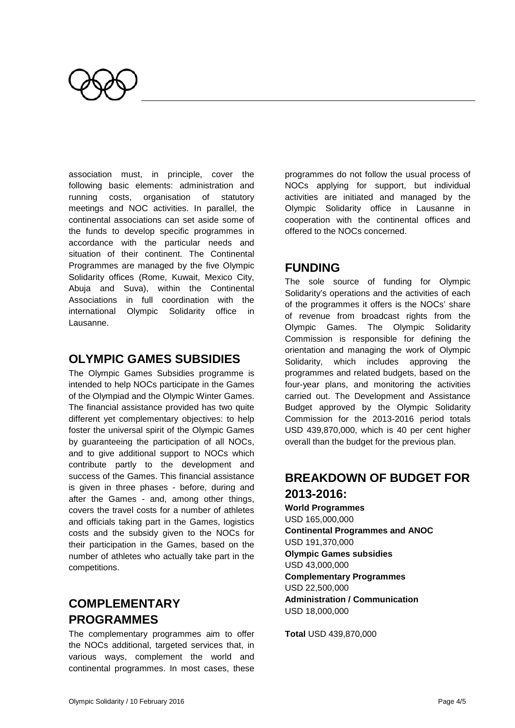

association must, in principle, cover the following basic elements: administration and running costs, organisation of statutory meetings and NOC activities. In parallel, the continental associations can set aside some of the funds to develop specific programmes in accordance with the particular needs and situation of their continent. The Continental Programmes are managed by the five Olympic Solidarity offices (Rome, Kuwait, Mexico City, Abuja and Suva), within the Continental Associations in full coordination with the international Olympic Solidarity office in Lausanne.

### **OLYMPIC GAMES SUBSIDIES**

The Olympic Games Subsidies programme is intended to help NOCs participate in the Games of the Olympiad and the Olympic Winter Games. The financial assistance provided has two quite different yet complementary objectives: to help foster the universal spirit of the Olympic Games by guaranteeing the participation of all NOCs, and to give additional support to NOCs which contribute partly to the development and success of the Games. This financial assistance is given in three phases - before, during and after the Games - and, among other things, covers the travel costs for a number of athletes and officials taking part in the Games, logistics costs and the subsidy given to the NOCs for their participation in the Games, based on the number of athletes who actually take part in the competitions.

# **COMPLEMENTARY PROGRAMMES**

The complementary programmes aim to offer the NOCs additional, targeted services that, in various ways, complement the world and continental programmes. In most cases, these programmes do not follow the usual process of NOCs applying for support, but individual activities are initiated and managed by the Olympic Solidarity office in Lausanne in cooperation with the continental offices and offered to the NOCs concerned.

### **FUNDING**

The sole source of funding for Olympic Solidarity's operations and the activities of each of the programmes it offers is the NOCs' share of revenue from broadcast rights from the Olympic Games. The Olympic Solidarity Commission is responsible for defining the orientation and managing the work of Olympic Solidarity, which includes approving the programmes and related budgets, based on the four-year plans, and monitoring the activities carried out. The Development and Assistance Budget approved by the Olympic Solidarity Commission for the 2013-2016 period totals USD 439,870,000, which is 40 per cent higher overall than the budget for the previous plan.

# **BREAKDOWN OF BUDGET FOR 2013-2016:**

**World Programmes** USD 165,000,000 **Continental Programmes and ANOC** USD 191,370,000 **Olympic Games subsidies** USD 43,000,000 **Complementary Programmes** USD 22,500,000 **Administration / Communication** USD 18,000,000

**Total** USD 439,870,000